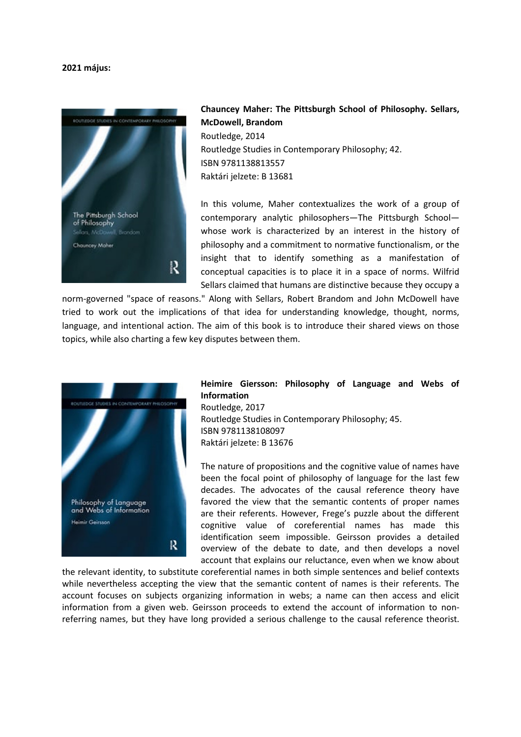## 2021 május:



## Chauncey Maher: The Pittsburgh School of Philosophy. Sellars, McDowell, Brandom Routledge, 2014 Routledge Studies in Contemporary Philosophy; 42. ISBN 9781138813557 Raktári jelzete: B 13681

In this volume, Maher contextualizes the work of a group of contemporary analytic philosophers—The Pittsburgh School whose work is characterized by an interest in the history of philosophy and a commitment to normative functionalism, or the insight that to identify something as a manifestation of conceptual capacities is to place it in a space of norms. Wilfrid Sellars claimed that humans are distinctive because they occupy a

norm-governed "space of reasons." Along with Sellars, Robert Brandom and John McDowell have tried to work out the implications of that idea for understanding knowledge, thought, norms, language, and intentional action. The aim of this book is to introduce their shared views on those topics, while also charting a few key disputes between them.



## Heimire Giersson: Philosophy of Language and Webs of Information

Routledge, 2017 Routledge Studies in Contemporary Philosophy; 45. ISBN 9781138108097 Raktári jelzete: B 13676

The nature of propositions and the cognitive value of names have been the focal point of philosophy of language for the last few decades. The advocates of the causal reference theory have favored the view that the semantic contents of proper names are their referents. However, Frege's puzzle about the different cognitive value of coreferential names has made this identification seem impossible. Geirsson provides a detailed overview of the debate to date, and then develops a novel account that explains our reluctance, even when we know about

the relevant identity, to substitute coreferential names in both simple sentences and belief contexts while nevertheless accepting the view that the semantic content of names is their referents. The account focuses on subjects organizing information in webs; a name can then access and elicit information from a given web. Geirsson proceeds to extend the account of information to nonreferring names, but they have long provided a serious challenge to the causal reference theorist.